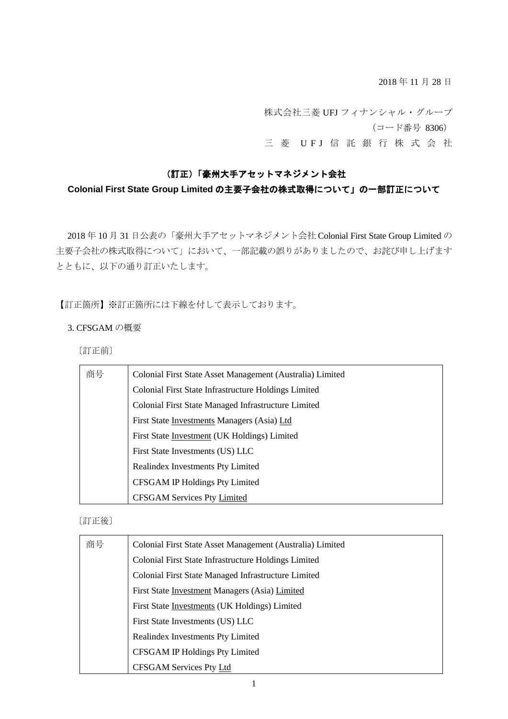2018 年 11 月 28 日

株式会社三菱 UFJ フィナンシャル・グループ (コード番号 8306) 三 菱 UFJ 信 託 銀 行 株 式 会 社

## (訂正)「豪州大手アセットマネジメント会社

# **Colonial First State Group Limited** の主要子会社の株式取得について」の一部訂正について

2018 年 10 月 31 日公表の「豪州大手アセットマネジメント会社 Colonial First State Group Limited の 主要子会社の株式取得について」において、一部記載の誤りがありましたので、お詫び申し上げます とともに、以下の通り訂正いたします。

【訂正箇所】※訂正箇所には下線を付して表示しております。

## 3. CFSGAM の概要

〔訂正前〕

| 商号 | Colonial First State Asset Management (Australia) Limited |
|----|-----------------------------------------------------------|
|    | Colonial First State Infrastructure Holdings Limited      |
|    | Colonial First State Managed Infrastructure Limited       |
|    | First State Investments Managers (Asia) Ltd               |
|    | First State Investment (UK Holdings) Limited              |
|    | First State Investments (US) LLC                          |
|    | Realindex Investments Pty Limited                         |
|    | <b>CFSGAM IP Holdings Pty Limited</b>                     |
|    | <b>CFSGAM Services Pty Limited</b>                        |

## 〔訂正後〕

| 商号 | Colonial First State Asset Management (Australia) Limited |
|----|-----------------------------------------------------------|
|    | Colonial First State Infrastructure Holdings Limited      |
|    | Colonial First State Managed Infrastructure Limited       |
|    | First State Investment Managers (Asia) Limited            |
|    | First State Investments (UK Holdings) Limited             |
|    | First State Investments (US) LLC                          |
|    | Realindex Investments Pty Limited                         |
|    | CFSGAM IP Holdings Pty Limited                            |
|    | <b>CFSGAM Services Pty Ltd</b>                            |